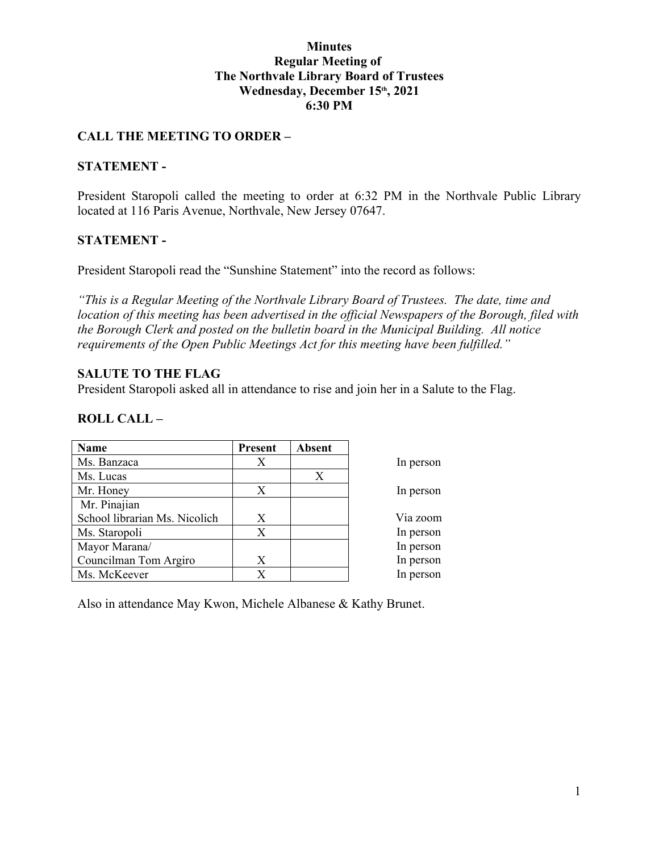#### **Minutes Regular Meeting of The Northvale Library Board of Trustees Wednesday, December 15th, 2021 6:30 PM**

## **CALL THE MEETING TO ORDER –**

#### **STATEMENT -**

President Staropoli called the meeting to order at 6:32 PM in the Northvale Public Library located at 116 Paris Avenue, Northvale, New Jersey 07647.

### **STATEMENT -**

President Staropoli read the "Sunshine Statement" into the record as follows:

*"This is a Regular Meeting of the Northvale Library Board of Trustees. The date, time and location of this meeting has been advertised in the official Newspapers of the Borough, filed with the Borough Clerk and posted on the bulletin board in the Municipal Building. All notice requirements of the Open Public Meetings Act for this meeting have been fulfilled."* 

### **SALUTE TO THE FLAG**

President Staropoli asked all in attendance to rise and join her in a Salute to the Flag.

#### **ROLL CALL –**

| Name                          | <b>Present</b> | <b>Absent</b> |           |
|-------------------------------|----------------|---------------|-----------|
| Ms. Banzaca                   | Χ              |               | In person |
| Ms. Lucas                     |                | X             |           |
| Mr. Honey                     | Χ              |               | In person |
| Mr. Pinajian                  |                |               |           |
| School librarian Ms. Nicolich | X              |               | Via zoom  |
| Ms. Staropoli                 | X              |               | In person |
| Mayor Marana/                 |                |               | In person |
| Councilman Tom Argiro         | Χ              |               | In person |
| Ms. McKeever                  | X              |               | In person |

Also in attendance May Kwon, Michele Albanese & Kathy Brunet.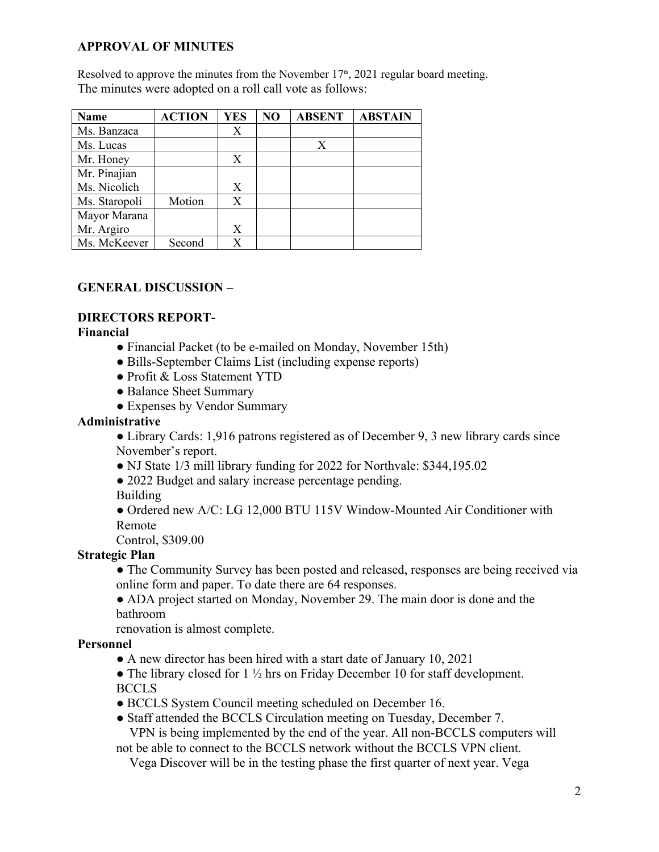# **APPROVAL OF MINUTES**

Resolved to approve the minutes from the November  $17<sup>th</sup>$ , 2021 regular board meeting. The minutes were adopted on a roll call vote as follows:

| Name          | <b>ACTION</b> | <b>YES</b> | NO | <b>ABSENT</b> | <b>ABSTAIN</b> |
|---------------|---------------|------------|----|---------------|----------------|
| Ms. Banzaca   |               | Х          |    |               |                |
| Ms. Lucas     |               |            |    | X             |                |
| Mr. Honey     |               | X          |    |               |                |
| Mr. Pinajian  |               |            |    |               |                |
| Ms. Nicolich  |               | X          |    |               |                |
| Ms. Staropoli | Motion        | Х          |    |               |                |
| Mayor Marana  |               |            |    |               |                |
| Mr. Argiro    |               | X          |    |               |                |
| Ms. McKeever  | Second        | X          |    |               |                |

# **GENERAL DISCUSSION –**

# **DIRECTORS REPORT-**

**Financial**

- Financial Packet (to be e-mailed on Monday, November 15th)
- Bills-September Claims List (including expense reports)
- Profit & Loss Statement YTD
- Balance Sheet Summary
- Expenses by Vendor Summary

## **Administrative**

• Library Cards: 1,916 patrons registered as of December 9, 3 new library cards since November's report.

- NJ State 1/3 mill library funding for 2022 for Northvale: \$344,195.02
- 2022 Budget and salary increase percentage pending.

Building

● Ordered new A/C: LG 12,000 BTU 115V Window-Mounted Air Conditioner with Remote

Control, \$309.00

# **Strategic Plan**

• The Community Survey has been posted and released, responses are being received via online form and paper. To date there are 64 responses.

• ADA project started on Monday, November 29. The main door is done and the bathroom

renovation is almost complete.

# **Personnel**

• A new director has been hired with a start date of January 10, 2021

• The library closed for  $1\frac{1}{2}$  hrs on Friday December 10 for staff development. BCCLS

- BCCLS System Council meeting scheduled on December 16.
- Staff attended the BCCLS Circulation meeting on Tuesday, December 7. VPN is being implemented by the end of the year. All non-BCCLS computers will

not be able to connect to the BCCLS network without the BCCLS VPN client.

Vega Discover will be in the testing phase the first quarter of next year. Vega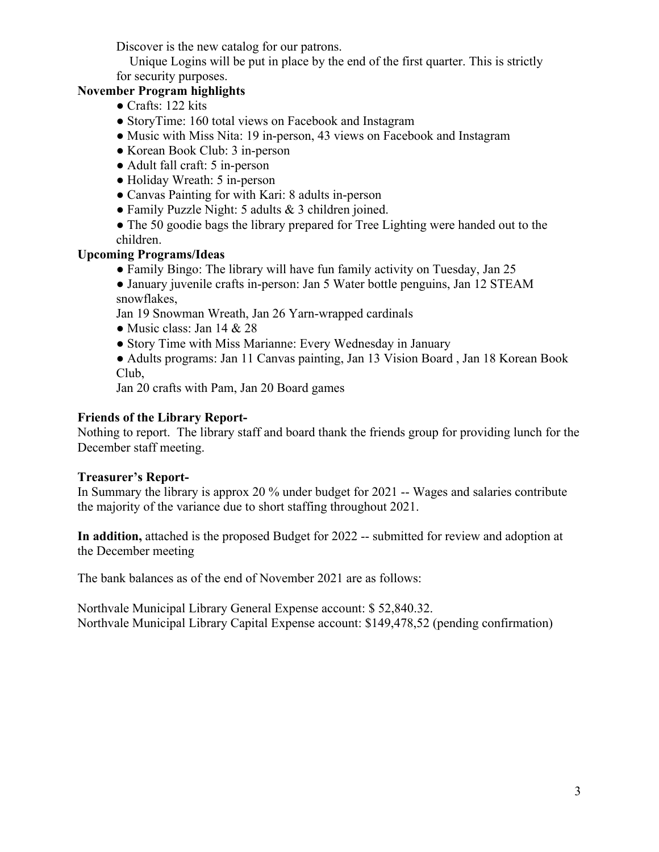Discover is the new catalog for our patrons.

 Unique Logins will be put in place by the end of the first quarter. This is strictly for security purposes.

## **November Program highlights**

- Crafts: 122 kits
- StoryTime: 160 total views on Facebook and Instagram
- Music with Miss Nita: 19 in-person, 43 views on Facebook and Instagram
- Korean Book Club: 3 in-person
- Adult fall craft: 5 in-person
- Holiday Wreath: 5 in-person
- Canvas Painting for with Kari: 8 adults in-person
- Family Puzzle Night: 5 adults & 3 children joined.
- The 50 goodie bags the library prepared for Tree Lighting were handed out to the children.

## **Upcoming Programs/Ideas**

- Family Bingo: The library will have fun family activity on Tuesday, Jan 25
- January juvenile crafts in-person: Jan 5 Water bottle penguins, Jan 12 STEAM snowflakes,

Jan 19 Snowman Wreath, Jan 26 Yarn-wrapped cardinals

- Music class: Jan  $14 \& 28$
- Story Time with Miss Marianne: Every Wednesday in January

● Adults programs: Jan 11 Canvas painting, Jan 13 Vision Board , Jan 18 Korean Book Club,

Jan 20 crafts with Pam, Jan 20 Board games

### **Friends of the Library Report-**

Nothing to report. The library staff and board thank the friends group for providing lunch for the December staff meeting.

### **Treasurer's Report-**

In Summary the library is approx 20 % under budget for 2021 -- Wages and salaries contribute the majority of the variance due to short staffing throughout 2021.

**In addition,** attached is the proposed Budget for 2022 -- submitted for review and adoption at the December meeting

The bank balances as of the end of November 2021 are as follows:

Northvale Municipal Library General Expense account: \$ 52,840.32. Northvale Municipal Library Capital Expense account: \$149,478,52 (pending confirmation)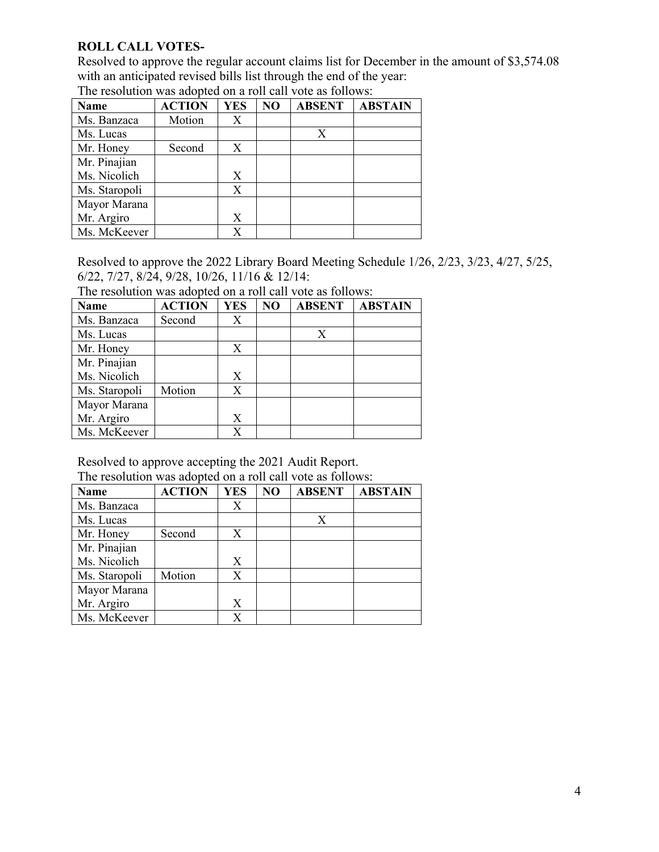### **ROLL CALL VOTES-**

Resolved to approve the regular account claims list for December in the amount of \$3,574.08 with an anticipated revised bills list through the end of the year:

| Name          | <b>ACTION</b> | <b>YES</b> | NO | <b>ABSENT</b> | <b>ABSTAIN</b> |
|---------------|---------------|------------|----|---------------|----------------|
| Ms. Banzaca   | Motion        | Х          |    |               |                |
| Ms. Lucas     |               |            |    | X             |                |
| Mr. Honey     | Second        | X          |    |               |                |
| Mr. Pinajian  |               |            |    |               |                |
| Ms. Nicolich  |               | X          |    |               |                |
| Ms. Staropoli |               | Х          |    |               |                |
| Mayor Marana  |               |            |    |               |                |
| Mr. Argiro    |               | Х          |    |               |                |
| Ms. McKeever  |               | X          |    |               |                |

The resolution was adopted on a roll call vote as follows:

Resolved to approve the 2022 Library Board Meeting Schedule 1/26, 2/23, 3/23, 4/27, 5/25, 6/22, 7/27, 8/24, 9/28, 10/26, 11/16 & 12/14:

The resolution was adopted on a roll call vote as follows:

| <b>Name</b>   | <b>ACTION</b> | <b>YES</b> | NO | <b>ABSENT</b> | <b>ABSTAIN</b> |
|---------------|---------------|------------|----|---------------|----------------|
| Ms. Banzaca   | Second        | Х          |    |               |                |
| Ms. Lucas     |               |            |    | X             |                |
| Mr. Honey     |               | X          |    |               |                |
| Mr. Pinajian  |               |            |    |               |                |
| Ms. Nicolich  |               | X          |    |               |                |
| Ms. Staropoli | Motion        | Х          |    |               |                |
| Mayor Marana  |               |            |    |               |                |
| Mr. Argiro    |               | X          |    |               |                |
| Ms. McKeever  |               | X          |    |               |                |

Resolved to approve accepting the 2021 Audit Report. The resolution was adopted on a roll call vote as follows:

| Name          | <b>ACTION</b> | <b>YES</b> | NO | <b>ABSENT</b> | <b>ABSTAIN</b> |
|---------------|---------------|------------|----|---------------|----------------|
| Ms. Banzaca   |               | Х          |    |               |                |
| Ms. Lucas     |               |            |    | Χ             |                |
| Mr. Honey     | Second        | Χ          |    |               |                |
| Mr. Pinajian  |               |            |    |               |                |
| Ms. Nicolich  |               | X          |    |               |                |
| Ms. Staropoli | Motion        | X          |    |               |                |
| Mayor Marana  |               |            |    |               |                |
| Mr. Argiro    |               | X          |    |               |                |
| Ms. McKeever  |               | X          |    |               |                |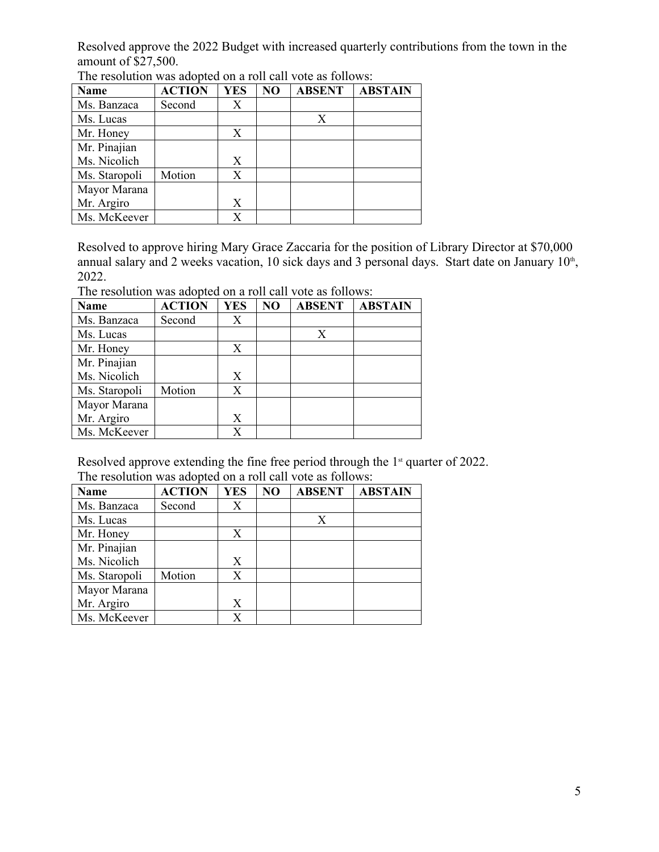Resolved approve the 2022 Budget with increased quarterly contributions from the town in the amount of \$27,500.

| <b>Name</b>   | <b>ACTION</b> | <b>YES</b> | NO | <b>ABSENT</b> | <b>ABSTAIN</b> |
|---------------|---------------|------------|----|---------------|----------------|
| Ms. Banzaca   | Second        | Х          |    |               |                |
| Ms. Lucas     |               |            |    | X             |                |
| Mr. Honey     |               | X          |    |               |                |
| Mr. Pinajian  |               |            |    |               |                |
| Ms. Nicolich  |               | X          |    |               |                |
| Ms. Staropoli | Motion        | Χ          |    |               |                |
| Mayor Marana  |               |            |    |               |                |
| Mr. Argiro    |               | X          |    |               |                |
| Ms. McKeever  |               | Χ          |    |               |                |

The resolution was adopted on a roll call vote as follows:

Resolved to approve hiring Mary Grace Zaccaria for the position of Library Director at \$70,000 annual salary and 2 weeks vacation, 10 sick days and 3 personal days. Start date on January 10<sup>th</sup>,<br>2022.

The resolution was adopted on a roll call vote as follows:

| <b>Name</b>   | <b>ACTION</b> | <b>YES</b> | NO | <b>ABSENT</b> | <b>ABSTAIN</b> |
|---------------|---------------|------------|----|---------------|----------------|
| Ms. Banzaca   | Second        | Х          |    |               |                |
| Ms. Lucas     |               |            |    |               |                |
| Mr. Honey     |               | X          |    |               |                |
| Mr. Pinajian  |               |            |    |               |                |
| Ms. Nicolich  |               | X          |    |               |                |
| Ms. Staropoli | Motion        | X          |    |               |                |
| Mayor Marana  |               |            |    |               |                |
| Mr. Argiro    |               | Χ          |    |               |                |
| Ms. McKeever  |               | X          |    |               |                |

Resolved approve extending the fine free period through the 1<sup>st</sup> quarter of 2022. The resolution was adopted on a roll call vote as follows:

| <b>Name</b>   | <b>ACTION</b> | <b>YES</b> | NO | <b>ABSENT</b> | <b>ABSTAIN</b> |
|---------------|---------------|------------|----|---------------|----------------|
| Ms. Banzaca   | Second        | Х          |    |               |                |
| Ms. Lucas     |               |            |    | X             |                |
| Mr. Honey     |               | Χ          |    |               |                |
| Mr. Pinajian  |               |            |    |               |                |
| Ms. Nicolich  |               | X          |    |               |                |
| Ms. Staropoli | Motion        | X          |    |               |                |
| Mayor Marana  |               |            |    |               |                |
| Mr. Argiro    |               | X          |    |               |                |
| Ms. McKeever  |               | X          |    |               |                |